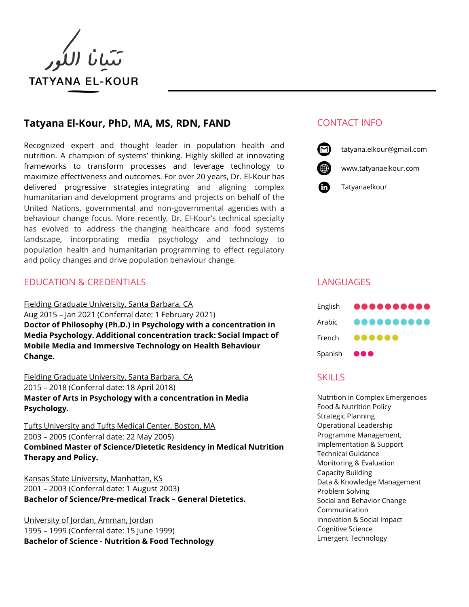

# **Tatyana El-Kour, PhD, MA, MS, RDN, FAND** CONTACT INFO

Recognized expert and thought leader in population health and nutrition. A champion of systems' thinking. Highly skilled at innovating frameworks to transform processes and leverage technology to maximize effectiveness and outcomes. For over 20 years, Dr. El-Kour has delivered progressive strategies integrating and aligning complex humanitarian and development programs and projects on behalf of the United Nations, governmental and non-governmental agencies with a behaviour change focus. More recently, Dr. El-Kour's technical specialty has evolved to address the changing healthcare and food systems landscape, incorporating media psychology and technology to population health and humanitarian programming to effect regulatory and policy changes and drive population behaviour change.

# EDUCATION & CREDENTIALS LANGUAGES

Fielding Graduate University, Santa Barbara, CA Aug 2015 – Jan 2021 (Conferral date: 1 February 2021) **Doctor of Philosophy (Ph.D.) in Psychology with a concentration in Media Psychology. Additional concentration track: Social Impact of Mobile Media and Immersive Technology on Health Behaviour Change.**

Fielding Graduate University, Santa Barbara, CA 2015 – 2018 (Conferral date: 18 April 2018) **Master of Arts in Psychology with a concentration in Media Psychology.**

Tufts University and Tufts Medical Center, Boston, MA 2003 – 2005 (Conferral date: 22 May 2005) **Combined Master of Science/Dietetic Residency in Medical Nutrition Therapy and Policy.**

Kansas State University, Manhattan, KS 2001 – 2003 (Conferral date: 1 August 2003) **Bachelor of Science/Pre-medical Track – General Dietetics.**

University of Jordan, Amman, Jordan 1995 – 1999 (Conferral date: 15 June 1999) **Bachelor of Science - Nutrition & Food Technology**



tatyana.elkour@gmail.com

www.tatyanaelkour.com





# **SKILLS**

Nutrition in Complex Emergencies Food & Nutrition Policy Strategic Planning Operational Leadership Programme Management, Implementation & Support Technical Guidance Monitoring & Evaluation Capacity Building Data & Knowledge Management Problem Solving Social and Behavior Change Communication Innovation & Social Impact Cognitive Science Emergent Technology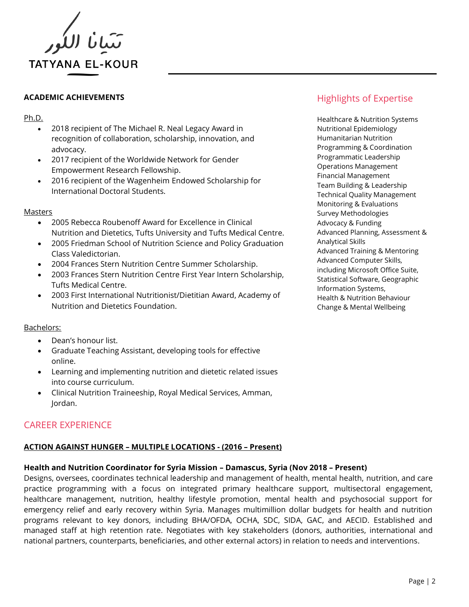

#### Ph.D.

- 2018 recipient of The Michael R. Neal Legacy Award in recognition of collaboration, scholarship, innovation, and advocacy.
- 2017 recipient of the Worldwide Network for Gender Empowerment Research Fellowship.
- 2016 recipient of the Wagenheim Endowed Scholarship for International Doctoral Students.

#### Masters

- 2005 Rebecca Roubenoff Award for Excellence in Clinical Nutrition and Dietetics, Tufts University and Tufts Medical Centre.
- 2005 Friedman School of Nutrition Science and Policy Graduation Class Valedictorian.
- 2004 Frances Stern Nutrition Centre Summer Scholarship.
- 2003 Frances Stern Nutrition Centre First Year Intern Scholarship, Tufts Medical Centre.
- 2003 First International Nutritionist/Dietitian Award, Academy of Nutrition and Dietetics Foundation.

#### Bachelors:

- Dean's honour list.
- Graduate Teaching Assistant, developing tools for effective online.
- Learning and implementing nutrition and dietetic related issues into course curriculum.
- Clinical Nutrition Traineeship, Royal Medical Services, Amman, Jordan.

# CAREER EXPERIENCE

## **ACTION AGAINST HUNGER – MULTIPLE LOCATIONS - (2016 – Present)**

#### **Health and Nutrition Coordinator for Syria Mission – Damascus, Syria (Nov 2018 – Present)**

Designs, oversees, coordinates technical leadership and management of health, mental health, nutrition, and care practice programming with a focus on integrated primary healthcare support, multisectoral engagement, healthcare management, nutrition, healthy lifestyle promotion, mental health and psychosocial support for emergency relief and early recovery within Syria. Manages multimillion dollar budgets for health and nutrition programs relevant to key donors, including BHA/OFDA, OCHA, SDC, SIDA, GAC, and AECID. Established and managed staff at high retention rate. Negotiates with key stakeholders (donors, authorities, international and national partners, counterparts, beneficiaries, and other external actors) in relation to needs and interventions.

# ACADEMIC ACHIEVEMENTS **ACADEMIC ACHIEVEMENTS Highlights of Expertise**

Healthcare & Nutrition Systems Nutritional Epidemiology Humanitarian Nutrition Programming & Coordination Programmatic Leadership Operations Management Financial Management Team Building & Leadership Technical Quality Management Monitoring & Evaluations Survey Methodologies Advocacy & Funding Advanced Planning, Assessment & Analytical Skills Advanced Training & Mentoring Advanced Computer Skills, including Microsoft Office Suite, Statistical Software, Geographic Information Systems, Health & Nutrition Behaviour Change & Mental Wellbeing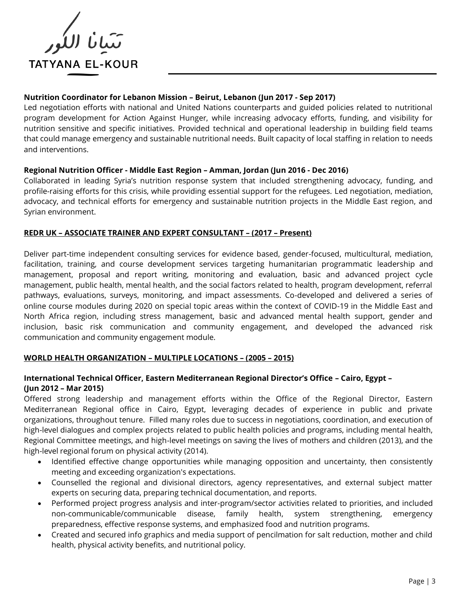

# **Nutrition Coordinator for Lebanon Mission – Beirut, Lebanon (Jun 2017 - Sep 2017)**

Led negotiation efforts with national and United Nations counterparts and guided policies related to nutritional program development for Action Against Hunger, while increasing advocacy efforts, funding, and visibility for nutrition sensitive and specific initiatives. Provided technical and operational leadership in building field teams that could manage emergency and sustainable nutritional needs. Built capacity of local staffing in relation to needs and interventions.

## **Regional Nutrition Officer - Middle East Region – Amman, Jordan (Jun 2016 - Dec 2016)**

Collaborated in leading Syria's nutrition response system that included strengthening advocacy, funding, and profile-raising efforts for this crisis, while providing essential support for the refugees. Led negotiation, mediation, advocacy, and technical efforts for emergency and sustainable nutrition projects in the Middle East region, and Syrian environment.

#### **REDR UK – ASSOCIATE TRAINER AND EXPERT CONSULTANT – (2017 – Present)**

Deliver part-time independent consulting services for evidence based, gender-focused, multicultural, mediation, facilitation, training, and course development services targeting humanitarian programmatic leadership and management, proposal and report writing, monitoring and evaluation, basic and advanced project cycle management, public health, mental health, and the social factors related to health, program development, referral pathways, evaluations, surveys, monitoring, and impact assessments. Co-developed and delivered a series of online course modules during 2020 on special topic areas within the context of COVID-19 in the Middle East and North Africa region, including stress management, basic and advanced mental health support, gender and inclusion, basic risk communication and community engagement, and developed the advanced risk communication and community engagement module.

## **WORLD HEALTH ORGANIZATION – MULTIPLE LOCATIONS – (2005 – 2015)**

## **International Technical Officer, Eastern Mediterranean Regional Director's Office – Cairo, Egypt – (Jun 2012 – Mar 2015)**

Offered strong leadership and management efforts within the Office of the Regional Director, Eastern Mediterranean Regional office in Cairo, Egypt, leveraging decades of experience in public and private organizations, throughout tenure. Filled many roles due to success in negotiations, coordination, and execution of high-level dialogues and complex projects related to public health policies and programs, including mental health, Regional Committee meetings, and high-level meetings on saving the lives of mothers and children (2013), and the high-level regional forum on physical activity (2014).

- Identified effective change opportunities while managing opposition and uncertainty, then consistently meeting and exceeding organization's expectations.
- Counselled the regional and divisional directors, agency representatives, and external subject matter experts on securing data, preparing technical documentation, and reports.
- Performed project progress analysis and inter-program/sector activities related to priorities, and included non-communicable/communicable disease, family health, system strengthening, emergency preparedness, effective response systems, and emphasized food and nutrition programs.
- Created and secured info graphics and media support of pencilmation for salt reduction, mother and child health, physical activity benefits, and nutritional policy.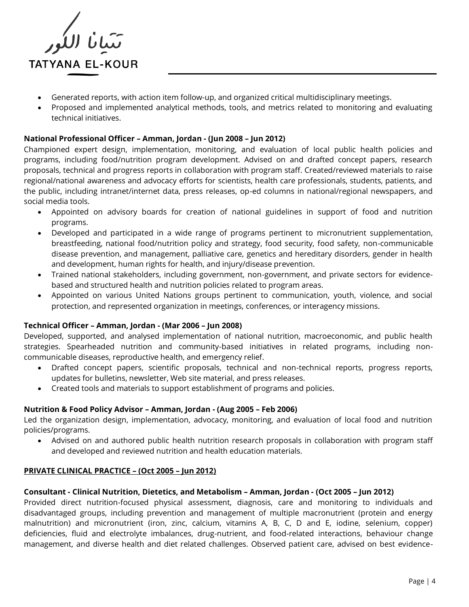

- Generated reports, with action item follow-up, and organized critical multidisciplinary meetings.
- Proposed and implemented analytical methods, tools, and metrics related to monitoring and evaluating technical initiatives.

### **National Professional Officer – Amman, Jordan - (Jun 2008 – Jun 2012)**

Championed expert design, implementation, monitoring, and evaluation of local public health policies and programs, including food/nutrition program development. Advised on and drafted concept papers, research proposals, technical and progress reports in collaboration with program staff. Created/reviewed materials to raise regional/national awareness and advocacy efforts for scientists, health care professionals, students, patients, and the public, including intranet/internet data, press releases, op-ed columns in national/regional newspapers, and social media tools.

- Appointed on advisory boards for creation of national guidelines in support of food and nutrition programs.
- Developed and participated in a wide range of programs pertinent to micronutrient supplementation, breastfeeding, national food/nutrition policy and strategy, food security, food safety, non-communicable disease prevention, and management, palliative care, genetics and hereditary disorders, gender in health and development, human rights for health, and injury/disease prevention.
- Trained national stakeholders, including government, non-government, and private sectors for evidencebased and structured health and nutrition policies related to program areas.
- Appointed on various United Nations groups pertinent to communication, youth, violence, and social protection, and represented organization in meetings, conferences, or interagency missions.

#### **Technical Officer – Amman, Jordan - (Mar 2006 – Jun 2008)**

Developed, supported, and analysed implementation of national nutrition, macroeconomic, and public health strategies. Spearheaded nutrition and community-based initiatives in related programs, including noncommunicable diseases, reproductive health, and emergency relief.

- Drafted concept papers, scientific proposals, technical and non-technical reports, progress reports, updates for bulletins, newsletter, Web site material, and press releases.
- Created tools and materials to support establishment of programs and policies.

## **Nutrition & Food Policy Advisor – Amman, Jordan - (Aug 2005 – Feb 2006)**

Led the organization design, implementation, advocacy, monitoring, and evaluation of local food and nutrition policies/programs.

• Advised on and authored public health nutrition research proposals in collaboration with program staff and developed and reviewed nutrition and health education materials.

#### **PRIVATE CLINICAL PRACTICE – (Oct 2005 – Jun 2012)**

#### **Consultant - Clinical Nutrition, Dietetics, and Metabolism – Amman, Jordan - (Oct 2005 – Jun 2012)**

Provided direct nutrition-focused physical assessment, diagnosis, care and monitoring to individuals and disadvantaged groups, including prevention and management of multiple macronutrient (protein and energy malnutrition) and micronutrient (iron, zinc, calcium, vitamins A, B, C, D and E, iodine, selenium, copper) deficiencies, fluid and electrolyte imbalances, drug-nutrient, and food-related interactions, behaviour change management, and diverse health and diet related challenges. Observed patient care, advised on best evidence-